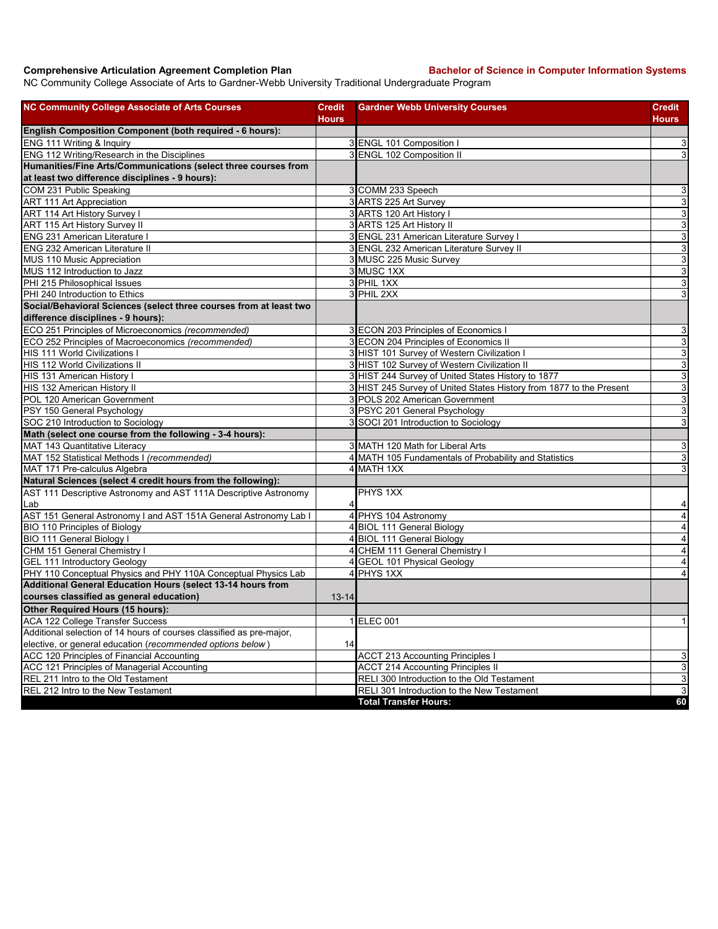## **Comprehensive Articulation Agreement Completion Plan Bachelor of Science in Computer Information Systems**

NC Community College Associate of Arts to Gardner-Webb University Traditional Undergraduate Program

| <b>NC Community College Associate of Arts Courses</b>                | <b>Credit</b><br><b>Hours</b> | <b>Gardner Webb University Courses</b>                              | <b>Credit</b><br><b>Hours</b> |
|----------------------------------------------------------------------|-------------------------------|---------------------------------------------------------------------|-------------------------------|
| <b>English Composition Component (both required - 6 hours):</b>      |                               |                                                                     |                               |
| ENG 111 Writing & Inquiry                                            |                               | 3 ENGL 101 Composition I                                            | $\sqrt{3}$                    |
| ENG 112 Writing/Research in the Disciplines                          |                               | 3 ENGL 102 Composition II                                           | $\mathsf 3$                   |
| Humanities/Fine Arts/Communications (select three courses from       |                               |                                                                     |                               |
| at least two difference disciplines - 9 hours):                      |                               |                                                                     |                               |
| COM 231 Public Speaking                                              |                               | 3 COMM 233 Speech                                                   | 3                             |
| ART 111 Art Appreciation                                             |                               | 3 ARTS 225 Art Survey                                               | 3                             |
| ART 114 Art History Survey I                                         |                               | 3 ARTS 120 Art History I                                            | $\overline{3}$                |
| ART 115 Art History Survey II                                        |                               | 3 ARTS 125 Art History II                                           | $\overline{3}$                |
| <b>ENG 231 American Literature I</b>                                 |                               | 3 ENGL 231 American Literature Survey I                             | 3                             |
| <b>ENG 232 American Literature II</b>                                |                               | 3 ENGL 232 American Literature Survey II                            | 3                             |
| MUS 110 Music Appreciation                                           |                               | 3 MUSC 225 Music Survey                                             | 3                             |
| MUS 112 Introduction to Jazz                                         |                               | 3 MUSC 1XX                                                          | 3                             |
| PHI 215 Philosophical Issues                                         |                               | 3 PHIL 1XX                                                          | $\mathsf 3$                   |
| PHI 240 Introduction to Ethics                                       |                               | 3 PHIL 2XX                                                          | 3                             |
| Social/Behavioral Sciences (select three courses from at least two   |                               |                                                                     |                               |
| difference disciplines - 9 hours):                                   |                               |                                                                     |                               |
| ECO 251 Principles of Microeconomics (recommended)                   |                               | 3 ECON 203 Principles of Economics I                                | 3                             |
| ECO 252 Principles of Macroeconomics (recommended)                   |                               | 3 ECON 204 Principles of Economics II                               | 3                             |
| HIS 111 World Civilizations I                                        |                               | 3 HIST 101 Survey of Western Civilization I                         | $\sqrt{3}$                    |
| HIS 112 World Civilizations II                                       |                               | 3 HIST 102 Survey of Western Civilization II                        | 3                             |
| HIS 131 American History I                                           |                               | 3 HIST 244 Survey of United States History to 1877                  | $\overline{3}$                |
| HIS 132 American History II                                          |                               | 3 HIST 245 Survey of United States History from 1877 to the Present | 3                             |
| POL 120 American Government                                          |                               | 3 POLS 202 American Government                                      | 3                             |
| PSY 150 General Psychology                                           |                               | 3 PSYC 201 General Psychology                                       | 3                             |
| SOC 210 Introduction to Sociology                                    |                               | 3 SOCI 201 Introduction to Sociology                                | 3                             |
| Math (select one course from the following - 3-4 hours):             |                               |                                                                     |                               |
| MAT 143 Quantitative Literacy                                        |                               | 3 MATH 120 Math for Liberal Arts                                    | 3                             |
| MAT 152 Statistical Methods I (recommended)                          |                               | 4 MATH 105 Fundamentals of Probability and Statistics               | $\sqrt{3}$                    |
| MAT 171 Pre-calculus Algebra                                         |                               | 4 MATH 1XX                                                          | 3                             |
| Natural Sciences (select 4 credit hours from the following):         |                               |                                                                     |                               |
| AST 111 Descriptive Astronomy and AST 111A Descriptive Astronomy     |                               | PHYS 1XX                                                            |                               |
| Lab                                                                  |                               |                                                                     | 4                             |
| AST 151 General Astronomy I and AST 151A General Astronomy Lab I     | 4                             | PHYS 104 Astronomy                                                  | $\overline{4}$                |
| BIO 110 Principles of Biology                                        | 4                             | <b>BIOL 111 General Biology</b>                                     | $\overline{4}$                |
| <b>BIO 111 General Biology I</b>                                     |                               | 4 BIOL 111 General Biology                                          | $\overline{\mathbf{4}}$       |
| CHM 151 General Chemistry                                            |                               | 4 CHEM 111 General Chemistry I                                      | $\overline{\mathbf{4}}$       |
| <b>GEL 111 Introductory Geology</b>                                  |                               | 4 GEOL 101 Physical Geology                                         | $\overline{4}$                |
| PHY 110 Conceptual Physics and PHY 110A Conceptual Physics Lab       |                               | 4 PHYS 1XX                                                          | $\overline{4}$                |
| Additional General Education Hours (select 13-14 hours from          |                               |                                                                     |                               |
| courses classified as general education)                             | $13 - 14$                     |                                                                     |                               |
| Other Required Hours (15 hours):                                     |                               |                                                                     |                               |
| <b>ACA 122 College Transfer Success</b>                              |                               | 1 ELEC 001                                                          | $\mathbf{1}$                  |
| Additional selection of 14 hours of courses classified as pre-major, |                               |                                                                     |                               |
| elective, or general education (recommended options below)           | 14                            |                                                                     |                               |
| ACC 120 Principles of Financial Accounting                           |                               | <b>ACCT 213 Accounting Principles I</b>                             | 3                             |
| ACC 121 Principles of Managerial Accounting                          |                               | <b>ACCT 214 Accounting Principles II</b>                            | $\mathsf 3$                   |
| REL 211 Intro to the Old Testament                                   |                               | RELI 300 Introduction to the Old Testament                          | 3                             |
| REL 212 Intro to the New Testament                                   |                               | RELI 301 Introduction to the New Testament                          | $\overline{3}$                |
|                                                                      |                               | <b>Total Transfer Hours:</b>                                        | 60                            |